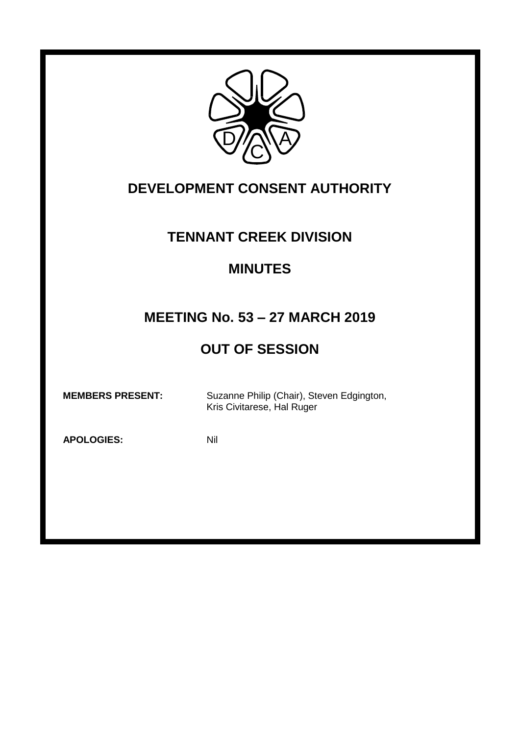

## **DEVELOPMENT CONSENT AUTHORITY**

## **TENNANT CREEK DIVISION**

### **MINUTES**

# **MEETING No. 53 – 27 MARCH 2019**

# **OUT OF SESSION**

 **MEMBERS PRESENT:** Suzanne Philip (Chair), Steven Edgington, Kris Civitarese, Hal Ruger

**APOLOGIES:** Nil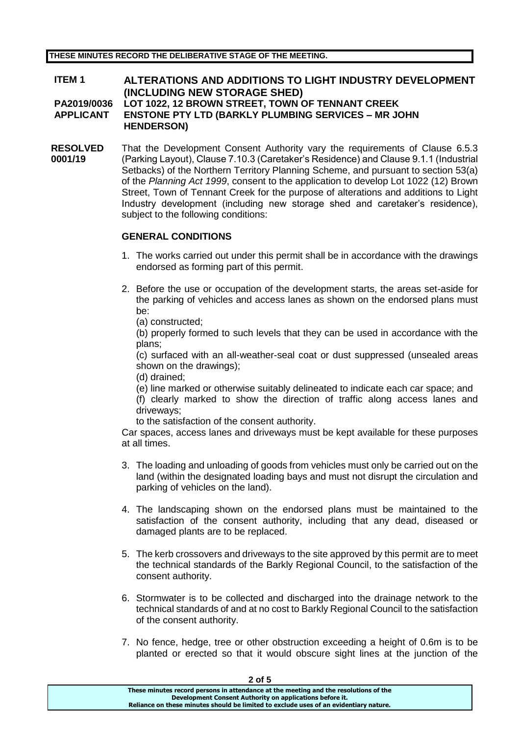#### **ITEM 1 ALTERATIONS AND ADDITIONS TO LIGHT INDUSTRY DEVELOPMENT (INCLUDING NEW STORAGE SHED) PA2019/0036 LOT 1022, 12 BROWN STREET, TOWN OF TENNANT CREEK APPLICANT ENSTONE PTY LTD (BARKLY PLUMBING SERVICES – MR JOHN HENDERSON)**

**RESOLVED 0001/19** That the Development Consent Authority vary the requirements of Clause 6.5.3 (Parking Layout), Clause 7.10.3 (Caretaker's Residence) and Clause 9.1.1 (Industrial Setbacks) of the Northern Territory Planning Scheme, and pursuant to section 53(a) of the *Planning Act 1999*, consent to the application to develop Lot 1022 (12) Brown Street, Town of Tennant Creek for the purpose of alterations and additions to Light Industry development (including new storage shed and caretaker's residence), subject to the following conditions:

### **GENERAL CONDITIONS**

- 1. The works carried out under this permit shall be in accordance with the drawings endorsed as forming part of this permit.
- 2. Before the use or occupation of the development starts, the areas set-aside for the parking of vehicles and access lanes as shown on the endorsed plans must be:
	- (a) constructed;

(b) properly formed to such levels that they can be used in accordance with the plans;

(c) surfaced with an all-weather-seal coat or dust suppressed (unsealed areas shown on the drawings);

(d) drained;

(e) line marked or otherwise suitably delineated to indicate each car space; and (f) clearly marked to show the direction of traffic along access lanes and driveways;

to the satisfaction of the consent authority.

Car spaces, access lanes and driveways must be kept available for these purposes at all times.

- 3. The loading and unloading of goods from vehicles must only be carried out on the land (within the designated loading bays and must not disrupt the circulation and parking of vehicles on the land).
- 4. The landscaping shown on the endorsed plans must be maintained to the satisfaction of the consent authority, including that any dead, diseased or damaged plants are to be replaced.
- 5. The kerb crossovers and driveways to the site approved by this permit are to meet the technical standards of the Barkly Regional Council, to the satisfaction of the consent authority.
- 6. Stormwater is to be collected and discharged into the drainage network to the technical standards of and at no cost to Barkly Regional Council to the satisfaction of the consent authority.
- 7. No fence, hedge, tree or other obstruction exceeding a height of 0.6m is to be planted or erected so that it would obscure sight lines at the junction of the

| כ וס ∠                                                                                |  |
|---------------------------------------------------------------------------------------|--|
| These minutes record persons in attendance at the meeting and the resolutions of the  |  |
| Development Consent Authority on applications before it.                              |  |
| Reliance on these minutes should be limited to exclude uses of an evidentiary nature. |  |
|                                                                                       |  |

**2 of 5**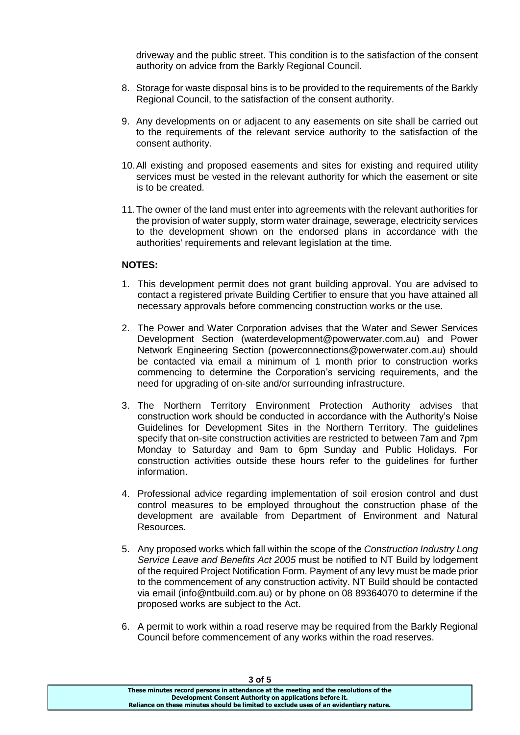driveway and the public street. This condition is to the satisfaction of the consent authority on advice from the Barkly Regional Council.

- 8. Storage for waste disposal bins is to be provided to the requirements of the Barkly Regional Council, to the satisfaction of the consent authority.
- 9. Any developments on or adjacent to any easements on site shall be carried out to the requirements of the relevant service authority to the satisfaction of the consent authority.
- 10.All existing and proposed easements and sites for existing and required utility services must be vested in the relevant authority for which the easement or site is to be created.
- 11.The owner of the land must enter into agreements with the relevant authorities for the provision of water supply, storm water drainage, sewerage, electricity services to the development shown on the endorsed plans in accordance with the authorities' requirements and relevant legislation at the time.

#### **NOTES:**

- 1. This development permit does not grant building approval. You are advised to contact a registered private Building Certifier to ensure that you have attained all necessary approvals before commencing construction works or the use.
- 2. The Power and Water Corporation advises that the Water and Sewer Services Development Section (waterdevelopment@powerwater.com.au) and Power Network Engineering Section (powerconnections@powerwater.com.au) should be contacted via email a minimum of 1 month prior to construction works commencing to determine the Corporation's servicing requirements, and the need for upgrading of on-site and/or surrounding infrastructure.
- 3. The Northern Territory Environment Protection Authority advises that construction work should be conducted in accordance with the Authority's Noise Guidelines for Development Sites in the Northern Territory. The guidelines specify that on-site construction activities are restricted to between 7am and 7pm Monday to Saturday and 9am to 6pm Sunday and Public Holidays. For construction activities outside these hours refer to the guidelines for further information.
- 4. Professional advice regarding implementation of soil erosion control and dust control measures to be employed throughout the construction phase of the development are available from Department of Environment and Natural Resources.
- 5. Any proposed works which fall within the scope of the *Construction Industry Long Service Leave and Benefits Act 2005* must be notified to NT Build by lodgement of the required Project Notification Form. Payment of any levy must be made prior to the commencement of any construction activity. NT Build should be contacted via email (info@ntbuild.com.au) or by phone on 08 89364070 to determine if the proposed works are subject to the Act.
- 6. A permit to work within a road reserve may be required from the Barkly Regional Council before commencement of any works within the road reserves.

| 3 O 15                                                                                |  |
|---------------------------------------------------------------------------------------|--|
| These minutes record persons in attendance at the meeting and the resolutions of the  |  |
| Development Consent Authority on applications before it.                              |  |
| Reliance on these minutes should be limited to exclude uses of an evidentiary nature. |  |
|                                                                                       |  |

#### **3 of 5**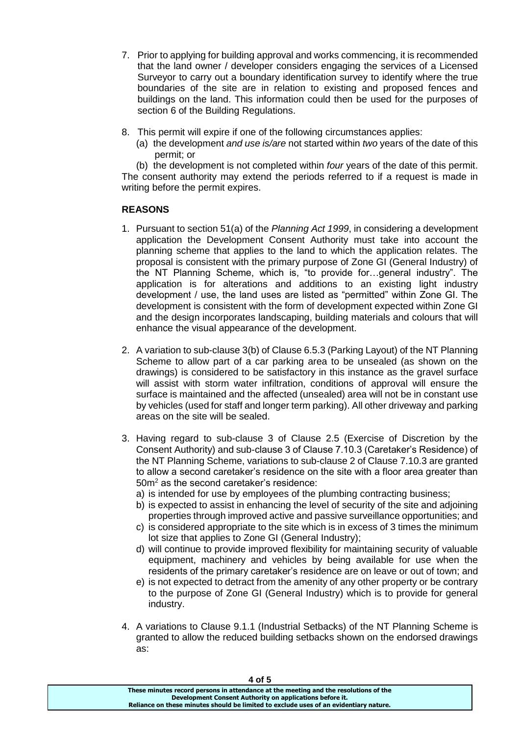- 7. Prior to applying for building approval and works commencing, it is recommended that the land owner / developer considers engaging the services of a Licensed Surveyor to carry out a boundary identification survey to identify where the true boundaries of the site are in relation to existing and proposed fences and buildings on the land. This information could then be used for the purposes of section 6 of the Building Regulations.
- 8. This permit will expire if one of the following circumstances applies:
	- (a) the development *and use is/are* not started within *two* years of the date of this permit; or

(b) the development is not completed within *four* years of the date of this permit. The consent authority may extend the periods referred to if a request is made in writing before the permit expires.

#### **REASONS**

- 1. Pursuant to section 51(a) of the *Planning Act 1999*, in considering a development application the Development Consent Authority must take into account the planning scheme that applies to the land to which the application relates. The proposal is consistent with the primary purpose of Zone GI (General Industry) of the NT Planning Scheme, which is, "to provide for…general industry". The application is for alterations and additions to an existing light industry development / use, the land uses are listed as "permitted" within Zone GI. The development is consistent with the form of development expected within Zone GI and the design incorporates landscaping, building materials and colours that will enhance the visual appearance of the development.
- 2. A variation to sub-clause 3(b) of Clause 6.5.3 (Parking Layout) of the NT Planning Scheme to allow part of a car parking area to be unsealed (as shown on the drawings) is considered to be satisfactory in this instance as the gravel surface will assist with storm water infiltration, conditions of approval will ensure the surface is maintained and the affected (unsealed) area will not be in constant use by vehicles (used for staff and longer term parking). All other driveway and parking areas on the site will be sealed.
- 3. Having regard to sub-clause 3 of Clause 2.5 (Exercise of Discretion by the Consent Authority) and sub-clause 3 of Clause 7.10.3 (Caretaker's Residence) of the NT Planning Scheme, variations to sub-clause 2 of Clause 7.10.3 are granted to allow a second caretaker's residence on the site with a floor area greater than 50m<sup>2</sup> as the second caretaker's residence:
	- a) is intended for use by employees of the plumbing contracting business;
	- b) is expected to assist in enhancing the level of security of the site and adjoining properties through improved active and passive surveillance opportunities; and
	- c) is considered appropriate to the site which is in excess of 3 times the minimum lot size that applies to Zone GI (General Industry);
	- d) will continue to provide improved flexibility for maintaining security of valuable equipment, machinery and vehicles by being available for use when the residents of the primary caretaker's residence are on leave or out of town; and
	- e) is not expected to detract from the amenity of any other property or be contrary to the purpose of Zone GI (General Industry) which is to provide for general industry.
- 4. A variations to Clause 9.1.1 (Industrial Setbacks) of the NT Planning Scheme is granted to allow the reduced building setbacks shown on the endorsed drawings as:

| 401 D                                                                                 |  |
|---------------------------------------------------------------------------------------|--|
| These minutes record persons in attendance at the meeting and the resolutions of the  |  |
| Development Consent Authority on applications before it.                              |  |
| Reliance on these minutes should be limited to exclude uses of an evidentiary nature. |  |
|                                                                                       |  |

**4 of 5**